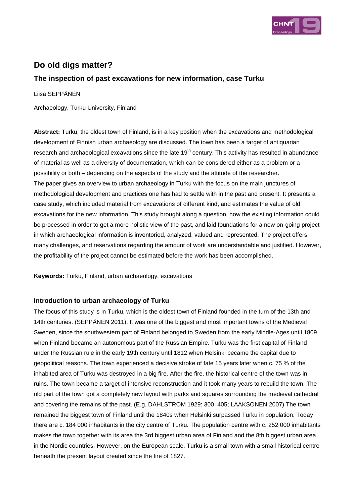

# **Do old digs matter?**

## **The inspection of past excavations for new information, case Turku**

Liisa SEPPÄNEN

Archaeology, Turku University, Finland

**Abstract:** Turku, the oldest town of Finland, is in a key position when the excavations and methodological development of Finnish urban archaeology are discussed. The town has been a target of antiquarian research and archaeological excavations since the late  $19<sup>th</sup>$  century. This activity has resulted in abundance of material as well as a diversity of documentation, which can be considered either as a problem or a possibility or both – depending on the aspects of the study and the attitude of the researcher. The paper gives an overview to urban archaeology in Turku with the focus on the main junctures of methodological development and practices one has had to settle with in the past and present. It presents a case study, which included material from excavations of different kind, and estimates the value of old excavations for the new information. This study brought along a question, how the existing information could be processed in order to get a more holistic view of the past, and laid foundations for a new on-going project in which archaeological information is inventoried, analyzed, valued and represented. The project offers many challenges, and reservations regarding the amount of work are understandable and justified. However, the profitability of the project cannot be estimated before the work has been accomplished.

**Keywords:** Turku, Finland, urban archaeology, excavations

#### **Introduction to urban archaeology of Turku**

The focus of this study is in Turku, which is the oldest town of Finland founded in the turn of the 13th and 14th centuries. (SEPPÄNEN 2011). It was one of the biggest and most important towns of the Medieval Sweden, since the southwestern part of Finland belonged to Sweden from the early Middle-Ages until 1809 when Finland became an autonomous part of the Russian Empire. Turku was the first capital of Finland under the Russian rule in the early 19th century until 1812 when Helsinki became the capital due to geopolitical reasons. The town experienced a decisive stroke of fate 15 years later when c. 75 % of the inhabited area of Turku was destroyed in a big fire. After the fire, the historical centre of the town was in ruins. The town became a target of intensive reconstruction and it took many years to rebuild the town. The old part of the town got a completely new layout with parks and squares surrounding the medieval cathedral and covering the remains of the past. (E.g. DAHLSTRÖM 1929: 300–405; LAAKSONEN 2007) The town remained the biggest town of Finland until the 1840s when Helsinki surpassed Turku in population. Today there are c. 184 000 inhabitants in the city centre of Turku. The population centre with c. 252 000 inhabitants makes the town together with its area the 3rd biggest urban area of Finland and the 8th biggest urban area in the Nordic countries. However, on the European scale, Turku is a small town with a small historical centre beneath the present layout created since the fire of 1827.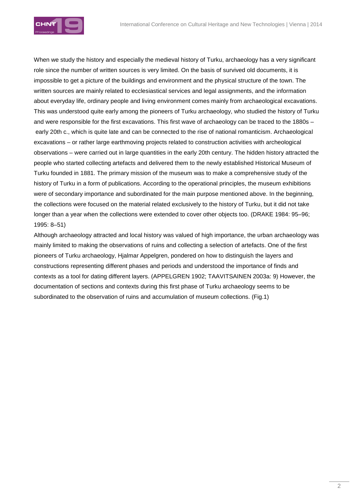

When we study the history and especially the medieval history of Turku, archaeology has a very significant role since the number of written sources is very limited. On the basis of survived old documents, it is impossible to get a picture of the buildings and environment and the physical structure of the town. The written sources are mainly related to ecclesiastical services and legal assignments, and the information about everyday life, ordinary people and living environment comes mainly from archaeological excavations. This was understood quite early among the pioneers of Turku archaeology, who studied the history of Turku and were responsible for the first excavations. This first wave of archaeology can be traced to the 1880s – early 20th c., which is quite late and can be connected to the rise of national romanticism. Archaeological excavations – or rather large earthmoving projects related to construction activities with archeological observations – were carried out in large quantities in the early 20th century. The hidden history attracted the people who started collecting artefacts and delivered them to the newly established Historical Museum of Turku founded in 1881. The primary mission of the museum was to make a comprehensive study of the history of Turku in a form of publications. According to the operational principles, the museum exhibitions were of secondary importance and subordinated for the main purpose mentioned above. In the beginning, the collections were focused on the material related exclusively to the history of Turku, but it did not take longer than a year when the collections were extended to cover other objects too. (DRAKE 1984: 95–96; 1995: 8–51)

Although archaeology attracted and local history was valued of high importance, the urban archaeology was mainly limited to making the observations of ruins and collecting a selection of artefacts. One of the first pioneers of Turku archaeology, Hjalmar Appelgren, pondered on how to distinguish the layers and constructions representing different phases and periods and understood the importance of finds and contexts as a tool for dating different layers. (APPELGREN 1902; TAAVITSAINEN 2003a: 9) However, the documentation of sections and contexts during this first phase of Turku archaeology seems to be subordinated to the observation of ruins and accumulation of museum collections. (Fig.1)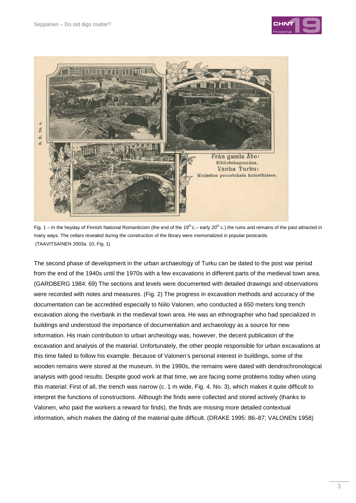



Fig. 1 – In the heyday of Finnish National Romanticism (the end of the 19<sup>th</sup> c.– early 20<sup>th</sup> c.) the ruins and remains of the past attracted in many ways. The cellars revealed during the construction of the library were memorialized in popular postcards. (TAAVITSAINEN 2003a: 10, Fig. 1)

The second phase of development in the urban archaeology of Turku can be dated to the post war period from the end of the 1940s until the 1970s with a few excavations in different parts of the medieval town area. (GARDBERG 1984: 69) The sections and levels were documented with detailed drawings and observations were recorded with notes and measures. (Fig. 2) The progress in excavation methods and accuracy of the documentation can be accredited especially to Niilo Valonen, who conducted a 650 meters long trench excavation along the riverbank in the medieval town area. He was an ethnographer who had specialized in buildings and understood the importance of documentation and archaeology as a source for new information. His main contribution to urban archeology was, however, the decent publication of the excavation and analysis of the material. Unfortunately, the other people responsible for urban excavations at this time failed to follow his example. Because of Valonen's personal interest in buildings, some of the wooden remains were stored at the museum. In the 1990s, the remains were dated with dendrochronological analysis with good results. Despite good work at that time, we are facing some problems today when using this material: First of all, the trench was narrow (c. 1 m wide, Fig. 4. No. 3), which makes it quite difficult to interpret the functions of constructions. Although the finds were collected and stored actively (thanks to Valonen, who paid the workers a reward for finds), the finds are missing more detailed contextual information, which makes the dating of the material quite difficult. (DRAKE 1995: 86–87; VALONEN 1958)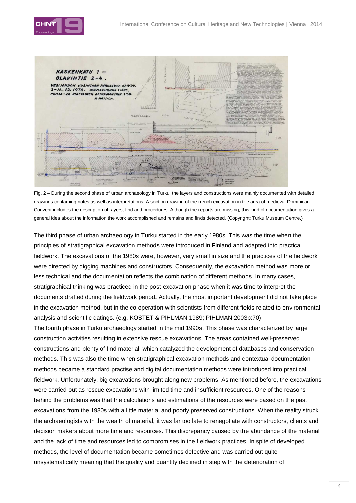



Fig. 2 – During the second phase of urban archaeology in Turku, the layers and constructions were mainly documented with detailed drawings containing notes as well as interpretations. A section drawing of the trench excavation in the area of medieval Dominican Convent includes the description of layers, find and procedures. Although the reports are missing, this kind of documentation gives a general idea about the information the work accomplished and remains and finds detected. (Copyright: Turku Museum Centre.)

The third phase of urban archaeology in Turku started in the early 1980s. This was the time when the principles of stratigraphical excavation methods were introduced in Finland and adapted into practical fieldwork. The excavations of the 1980s were, however, very small in size and the practices of the fieldwork were directed by digging machines and constructors. Consequently, the excavation method was more or less technical and the documentation reflects the combination of different methods. In many cases, stratigraphical thinking was practiced in the post-excavation phase when it was time to interpret the documents drafted during the fieldwork period. Actually, the most important development did not take place in the excavation method, but in the co-operation with scientists from different fields related to environmental analysis and scientific datings. (e.g. KOSTET & PIHLMAN 1989; PIHLMAN 2003b:70) The fourth phase in Turku archaeology started in the mid 1990s. This phase was characterized by large construction activities resulting in extensive rescue excavations. The areas contained well-preserved constructions and plenty of find material, which catalyzed the development of databases and conservation methods. This was also the time when stratigraphical excavation methods and contextual documentation methods became a standard practise and digital documentation methods were introduced into practical fieldwork. Unfortunately, big excavations brought along new problems. As mentioned before, the excavations were carried out as rescue excavations with limited time and insufficient resources. One of the reasons behind the problems was that the calculations and estimations of the resources were based on the past excavations from the 1980s with a little material and poorly preserved constructions. When the reality struck the archaeologists with the wealth of material, it was far too late to renegotiate with constructors, clients and decision makers about more time and resources. This discrepancy caused by the abundance of the material and the lack of time and resources led to compromises in the fieldwork practices. In spite of developed methods, the level of documentation became sometimes defective and was carried out quite

unsystematically meaning that the quality and quantity declined in step with the deterioration of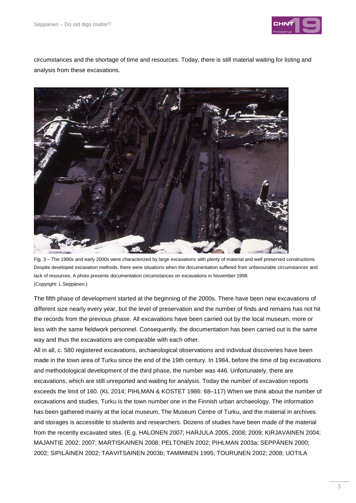

circumstances and the shortage of time and resources. Today, there is still material waiting for listing and analysis from these excavations.



Fig. 3 – The 1990s and early 2000s were characterized by large excavations with plenty of material and well preserved constructions. Despite developed excavation methods, there were situations when the documentation suffered from unfavourable circumstances and lack of resources. A photo presents documentation circumstances on excavations in November 1998. (Copyright: L.Seppänen.)

The fifth phase of development started at the beginning of the 2000s. There have been new excavations of different size nearly every year, but the level of preservation and the number of finds and remains has not hit the records from the previous phase. All excavations have been carried out by the local museum, more or less with the same fieldwork personnel. Consequently, the documentation has been carried out is the same way and thus the excavations are comparable with each other.

All in all, c. 580 registered excavations, archaeological observations and individual discoveries have been made in the town area of Turku since the end of the 19th century. In 1984, before the time of big excavations and methodological development of the third phase, the number was 446. Unfortunately, there are excavations, which are still unreported and waiting for analysis. Today the number of excavation reports exceeds the limit of 160. (KL 2014; PIHLMAN & KOSTET 1986: 68–117) When we think about the number of excavations and studies, Turku is the town number one in the Finnish urban archaeology. The information has been gathered mainly at the local museum, The Museum Centre of Turku, and the material in archives and storages is accessible to students and researchers. Dozens of studies have been made of the material from the recently excavated sites. (E.g. HALONEN 2007; HARJULA 2005, 2008; 2009; KIRJAVAINEN 2004; MAJANTIE 2002; 2007; MARTISKAINEN 2008; PELTONEN 2002; PIHLMAN 2003a; SEPPÄNEN 2000; 2002; SIPILÄINEN 2002; TAAVITSAINEN 2003b; TAMMINEN 1995; TOURUNEN 2002; 2008; UOTILA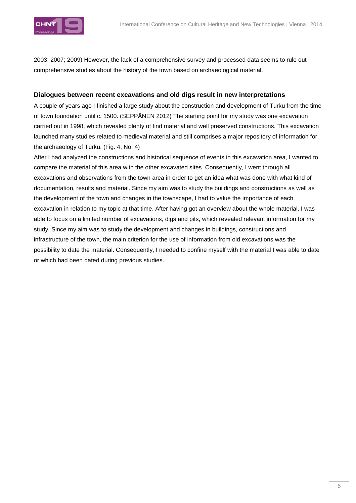

2003; 2007; 2009) However, the lack of a comprehensive survey and processed data seems to rule out comprehensive studies about the history of the town based on archaeological material.

#### **Dialogues between recent excavations and old digs result in new interpretations**

A couple of years ago I finished a large study about the construction and development of Turku from the time of town foundation until c. 1500. (SEPPÄNEN 2012) The starting point for my study was one excavation carried out in 1998, which revealed plenty of find material and well preserved constructions. This excavation launched many studies related to medieval material and still comprises a major repository of information for the archaeology of Turku. (Fig. 4, No. 4)

After I had analyzed the constructions and historical sequence of events in this excavation area, I wanted to compare the material of this area with the other excavated sites. Consequently, I went through all excavations and observations from the town area in order to get an idea what was done with what kind of documentation, results and material. Since my aim was to study the buildings and constructions as well as the development of the town and changes in the townscape, I had to value the importance of each excavation in relation to my topic at that time. After having got an overview about the whole material, I was able to focus on a limited number of excavations, digs and pits, which revealed relevant information for my study. Since my aim was to study the development and changes in buildings, constructions and infrastructure of the town, the main criterion for the use of information from old excavations was the possibility to date the material. Consequently, I needed to confine myself with the material I was able to date or which had been dated during previous studies.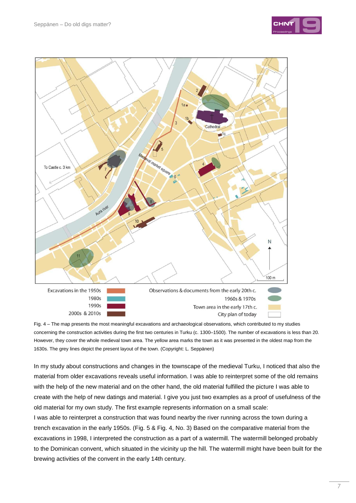



Fig. 4 – The map presents the most meaningful excavations and archaeological observations, which contributed to my studies concerning the construction activities during the first two centuries in Turku (c. 1300–1500). The number of excavations is less than 20. However, they cover the whole medieval town area. The yellow area marks the town as it was presented in the oldest map from the 1630s. The grey lines depict the present layout of the town. (Copyright: L. Seppänen)

In my study about constructions and changes in the townscape of the medieval Turku, I noticed that also the material from older excavations reveals useful information. I was able to reinterpret some of the old remains with the help of the new material and on the other hand, the old material fulfilled the picture I was able to create with the help of new datings and material. I give you just two examples as a proof of usefulness of the old material for my own study. The first example represents information on a small scale:

I was able to reinterpret a construction that was found nearby the river running across the town during a trench excavation in the early 1950s. (Fig. 5 & Fig. 4, No. 3) Based on the comparative material from the excavations in 1998, I interpreted the construction as a part of a watermill. The watermill belonged probably to the Dominican convent, which situated in the vicinity up the hill. The watermill might have been built for the brewing activities of the convent in the early 14th century.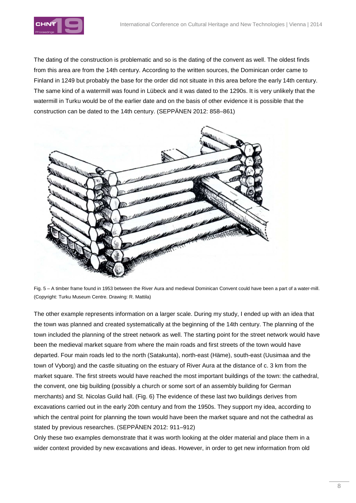

The dating of the construction is problematic and so is the dating of the convent as well. The oldest finds from this area are from the 14th century. According to the written sources, the Dominican order came to Finland in 1249 but probably the base for the order did not situate in this area before the early 14th century. The same kind of a watermill was found in Lübeck and it was dated to the 1290s. It is very unlikely that the watermill in Turku would be of the earlier date and on the basis of other evidence it is possible that the construction can be dated to the 14th century. (SEPPÄNEN 2012: 858–861)



Fig. 5 – A timber frame found in 1953 between the River Aura and medieval Dominican Convent could have been a part of a water-mill. (Copyright: Turku Museum Centre. Drawing: R. Mattila)

The other example represents information on a larger scale. During my study, I ended up with an idea that the town was planned and created systematically at the beginning of the 14th century. The planning of the town included the planning of the street network as well. The starting point for the street network would have been the medieval market square from where the main roads and first streets of the town would have departed. Four main roads led to the north (Satakunta), north-east (Häme), south-east (Uusimaa and the town of Vyborg) and the castle situating on the estuary of River Aura at the distance of c. 3 km from the market square. The first streets would have reached the most important buildings of the town: the cathedral, the convent, one big building (possibly a church or some sort of an assembly building for German merchants) and St. Nicolas Guild hall. (Fig. 6) The evidence of these last two buildings derives from excavations carried out in the early 20th century and from the 1950s. They support my idea, according to which the central point for planning the town would have been the market square and not the cathedral as stated by previous researches. (SEPPÄNEN 2012: 911–912)

Only these two examples demonstrate that it was worth looking at the older material and place them in a wider context provided by new excavations and ideas. However, in order to get new information from old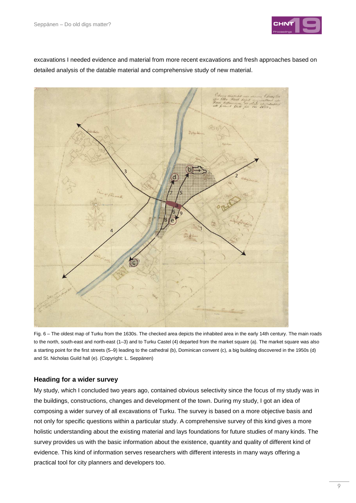

excavations I needed evidence and material from more recent excavations and fresh approaches based on detailed analysis of the datable material and comprehensive study of new material.



Fig. 6 – The oldest map of Turku from the 1630s. The checked area depicts the inhabited area in the early 14th century. The main roads to the north, south-east and north-east (1–3) and to Turku Castel (4) departed from the market square (a). The market square was also a starting point for the first streets (5–9) leading to the cathedral (b), Dominican convent (c), a big building discovered in the 1950s (d) and St. Nicholas Guild hall (e). (Copyright: L. Seppänen)

### **Heading for a wider survey**

My study, which I concluded two years ago, contained obvious selectivity since the focus of my study was in the buildings, constructions, changes and development of the town. During my study, I got an idea of composing a wider survey of all excavations of Turku. The survey is based on a more objective basis and not only for specific questions within a particular study. A comprehensive survey of this kind gives a more holistic understanding about the existing material and lays foundations for future studies of many kinds. The survey provides us with the basic information about the existence, quantity and quality of different kind of evidence. This kind of information serves researchers with different interests in many ways offering a practical tool for city planners and developers too.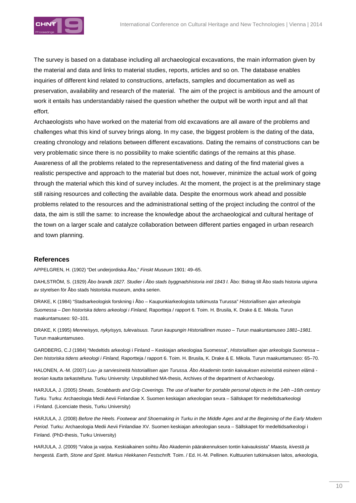

The survey is based on a database including all archaeological excavations, the main information given by the material and data and links to material studies, reports, articles and so on. The database enables inquiries of different kind related to constructions, artefacts, samples and documentation as well as preservation, availability and research of the material. The aim of the project is ambitious and the amount of work it entails has understandably raised the question whether the output will be worth input and all that effort.

Archaeologists who have worked on the material from old excavations are all aware of the problems and challenges what this kind of survey brings along. In my case, the biggest problem is the dating of the data, creating chronology and relations between different excavations. Dating the remains of constructions can be very problematic since there is no possibility to make scientific datings of the remains at this phase. Awareness of all the problems related to the representativeness and dating of the find material gives a realistic perspective and approach to the material but does not, however, minimize the actual work of going through the material which this kind of survey includes. At the moment, the project is at the preliminary stage still raising resources and collecting the available data. Despite the enormous work ahead and possible problems related to the resources and the administrational setting of the project including the control of the data, the aim is still the same: to increase the knowledge about the archaeological and cultural heritage of the town on a larger scale and catalyze collaboration between different parties engaged in urban research and town planning.

#### **References**

APPELGREN, H. (1902) "Det underjordiska Åbo," Finskt Museum 1901: 49–65.

DAHLSTRÖM, S. (1929) Åbo brandk 1827. Studier i Åbo stads byggnadshistoria intil 1843 I. Åbo: Bidrag till Åbo stads historia utgivna av styrelsen för Åbo stads historiska museum, andra serien.

DRAKE, K (1984) "Stadsarkeologisk forskning i Åbo – Kaupunkiarkeologista tutkimusta Turussa" Historiallisen ajan arkeologia Suomessa – Den historiska tidens arkeologi i Finland, Raportteja / rapport 6. Toim. H. Brusila, K. Drake & E. Mikola. Turun maakuntamuseo: 92–101.

DRAKE, K (1995) Menneisyys, nykyisyys, tulevaisuus. Turun kaupungin Historiallinen museo – Turun maakuntamuseo 1881–1981. Turun maakuntamuseo.

GARDBERG, C.J (1984) "Medeltids arkeologi i Finland – Keskiajan arkeologiaa Suomessa", Historiallisen ajan arkeologia Suomessa – Den historiska tidens arkeologi i Finland, Raportteja / rapport 6. Toim. H. Brusila, K. Drake & E. Mikola. Turun maakuntamuseo: 65–70.

HALONEN, A.-M. (2007) Luu- ja sarviesineitä historiallisen ajan Turussa. Åbo Akademin tontin kaivauksen esineistöä esineen elämä teorian kautta tarkasteltuna. Turku University: Unpublished MA-thesis, Archives of the department of Archaeology.

HARJULA, J. (2005) Sheats, Scrabbards and Grip Coverings. The use of leather for portable personal objects in the 14th –16th century Turku. Turku: Archaeologia Medii Aevii Finlandiae X. Suomen keskiajan arkeologian seura – Sällskapet för medeltidsarkeologi i Finland. (Licenciate thesis, Turku University)

HARJULA, J. (2008) Before the Heels. Footwear and Shoemaking in Turku in the Middle Ages and at the Beginning of the Early Modern Period. Turku: Archaeologia Medii Aevii Finlandiae XV. Suomen keskiajan arkeologian seura – Sällskapet för medeltidsarkeologi i Finland. (PhD-thesis, Turku University)

HARJULA, J. (2009) "Valoa ja varjoa. Keskiaikainen soihtu Åbo Akademin päärakennuksen tontin kaivauksista" Maasta, kivestä ja hengestä. Earth, Stone and Spirit. Markus Hiekkanen Festschrift. Toim. / Ed. H.-M. Pellinen. Kulttuurien tutkimuksen laitos, arkeologia,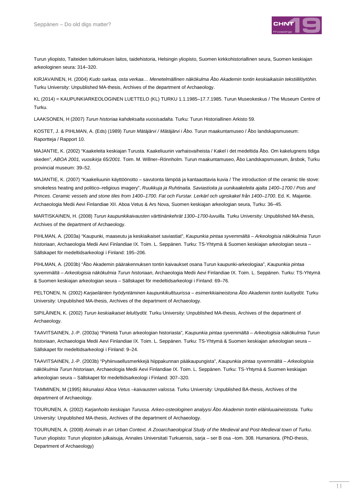

Turun yliopisto, Taiteiden tutkimuksen laitos, taidehistoria, Helsingin yliopisto, Suomen kirkkohistoriallinen seura, Suomen keskiajan arkeologinen seura: 314–320.

KIRJAVAINEN, H. (2004) Kudo sarkaa, osta verkaa… Menetelmällinen näkökulma Åbo Akademin tontin keskiaikaisiin tekstiililöytöhin. Turku University: Unpublished MA-thesis, Archives of the department of Archaeology.

KL (2014) = KAUPUNKIARKEOLOGINEN LUETTELO (KL) TURKU 1.1.1985–17.7.1985. Turun Museokeskus / The Museum Centre of Turku.

LAAKSONEN, H (2007) Turun historiaa kahdeksalta vuosisadalta. Turku: Turun Historiallinen Arkisto 59.

KOSTET, J. & PIHLMAN, A. (Eds) (1989) Turun Mätäjärvi / Mätäjärvi i Åbo. Turun maakuntamuseo / Åbo landskapsmuseum: Raportteja / Rapport 10.

MAJANTIE, K. (2002) "Kaakeleita keskiajan Turusta. Kaakeliuunin varhaisvaiheista / Kakel i det medeltida Åbo. Om kakelugnens tidiga skeden", ABOA 2001, vuosikirja 65/2001. Toim. M. Willner–Rönnholm. Turun maakuntamuseo, Åbo Landskapsmuseum, årsbok, Turku provincial museum: 39–52.

MAJANTIE, K. (2007) "Kaakeliuunin käyttöönotto – savutonta lämpöä ja kantaaottavia kuvia / The introduction of the ceramic tile stove: smokeless heating and politico–religious imagery", Ruukkuja ja Ruhtinaita. Saviastioita ja uunikaakeleita ajalta 1400–1700 / Pots and Princes. Ceramic vessels and stone tiles from 1400–1700. Fat och Furstar. Lerkärl och ugnskakel från 1400–1700. Ed. K. Majantie. Archaeologia Medii Aevi Finlandiae XII. Aboa Vetus & Ars Nova, Suomen keskiajan arkeologian seura, Turku: 36–45.

MARTISKAINEN, H. (2008) Turun kaupunkikaivausten värttinänkehrät 1300–1700-luvuilla. Turku University: Unpublished MA-thesis, Archives of the department of Archaeology.

PIHLMAN, A. (2003a) "Kaupunki, maaseutu ja keskiaikaiset saviastiat", Kaupunkia pintaa syvemmältä – Arkeologisia näkökulmia Turun historiaan, Archaeologia Medii Aevi Finlandiae IX. Toim. L. Seppänen. Turku: TS-Yhtymä & Suomen keskiajan arkeologian seura – Sällskapet för medeltidsarkeologi i Finland: 195–206.

PIHLMAN, A. (2003b) "Åbo Akademin päärakennuksen tontin kaivaukset osana Turun kaupunki-arkeologiaa", Kaupunkia pintaa syvemmältä – Arkeologisia näkökulmia Turun historiaan, Archaeologia Medii Aevi Finlandiae IX. Toim. L. Seppänen. Turku: TS-Yhtymä & Suomen keskiajan arkeologian seura – Sällskapet för medeltidsarkeologi i Finland: 69–76.

PELTONEN, N. (2002) Karjaeläinten hyödyntäminen kaupunkikulttuurissa – esimerkkiaineistona Åbo Akademin tontin luulöydöt. Turku University: Unpublished MA-thesis, Archives of the department of Archaeology.

SIPILÄINEN, K. (2002) Turun keskiaikaiset lelulöydöt. Turku University: Unpublished MA-thesis, Archives of the department of Archaeology.

TAAVITSAINEN, J.-P. (2003a) "Piirteitä Turun arkeologian historiasta", Kaupunkia pintaa syvemmältä – Arkeologisia näkökulmia Turun historiaan, Archaeologia Medii Aevi Finlandiae IX. Toim. L. Seppänen. Turku: TS-Yhtymä & Suomen keskiajan arkeologian seura – Sällskapet för medeltidsarkeologi i Finland: 9–24.

TAAVITSAINEN, J.-P. (2003b) "Pyhiinvaellusmerkkejä hiippakunnan pääkaupungista", Kaupunkia pintaa syvemmältä – Arkeologisia näkökulmia Turun historiaan, Archaeologia Medii Aevi Finlandiae IX. Toim. L. Seppänen. Turku: TS-Yhtymä & Suomen keskiajan arkeologian seura – Sällskapet för medeltidsarkeologi i Finland: 307–320.

TAMMINEN, M (1995) Ikkunalasi Aboa Vetus –kaivausten valossa. Turku University: Unpublished BA-thesis, Archives of the department of Archaeology.

TOURUNEN, A. (2002) Karjanhoito keskiajan Turussa. Arkeo-osteologinen analyysi Åbo Akademin tontin eläinluuaineistosta. Turku University: Unpublished MA-thesis, Archives of the department of Archaeology.

TOURUNEN, A. (2008) Animals in an Urban Context. A Zooarchaeological Study of the Medieval and Post-Medieval town of Turku. Turun yliopisto: Turun yliopiston julkaisuja, Annales Universitati Turkuensis, sarja – ser B osa –tom. 308. Humaniora. (PhD-thesis, Department of Archaeology)